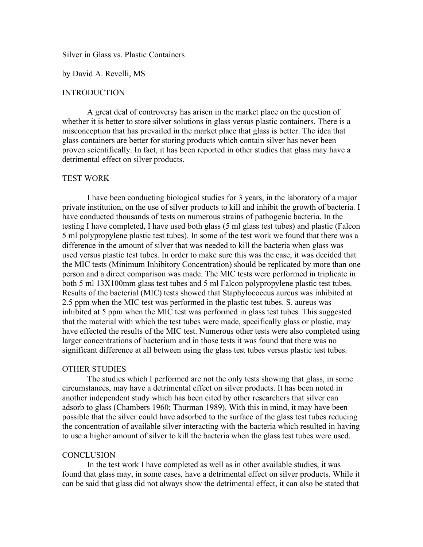## Silver in Glass vs. Plastic Containers

#### by David A. Revelli, MS

# **INTRODUCTION**

A great deal of controversy has arisen in the market place on the question of whether it is better to store silver solutions in glass versus plastic containers. There is a misconception that has prevailed in the market place that glass is better. The idea that glass containers are better for storing products which contain silver has never been proven scientifically. In fact, it has been reported in other studies that glass may have a detrimental effect on silver products.

# TEST WORK

I have been conducting biological studies for 3 years, in the laboratory of a major private institution, on the use of silver products to kill and inhibit the growth of bacteria. I have conducted thousands of tests on numerous strains of pathogenic bacteria. In the testing I have completed, I have used both glass (5 ml glass test tubes) and plastic (Falcon 5 ml polypropylene plastic test tubes). In some of the test work we found that there was a difference in the amount of silver that was needed to kill the bacteria when glass was used versus plastic test tubes. In order to make sure this was the case, it was decided that the MIC tests (Minimum Inhibitory Concentration) should be replicated by more than one person and a direct comparison was made. The MIC tests were performed in triplicate in both 5 ml 13X100mm glass test tubes and 5 ml Falcon polypropylene plastic test tubes. Results of the bacterial (MIC) tests showed that Staphylococcus aureus was inhibited at 2.5 ppm when the MIC test was performed in the plastic test tubes. S. aureus was inhibited at 5 ppm when the MIC test was performed in glass test tubes. This suggested that the material with which the test tubes were made, specifically glass or plastic, may have effected the results of the MIC test. Numerous other tests were also completed using larger concentrations of bacterium and in those tests it was found that there was no significant difference at all between using the glass test tubes versus plastic test tubes.

# OTHER STUDIES

The studies which I performed are not the only tests showing that glass, in some circumstances, may have a detrimental effect on silver products. It has been noted in another independent study which has been cited by other researchers that silver can adsorb to glass (Chambers 1960; Thurman 1989). With this in mind, it may have been possible that the silver could have adsorbed to the surface of the glass test tubes reducing the concentration of available silver interacting with the bacteria which resulted in having to use a higher amount of silver to kill the bacteria when the glass test tubes were used.

#### **CONCLUSION**

In the test work I have completed as well as in other available studies, it was found that glass may, in some cases, have a detrimental effect on silver products. While it can be said that glass did not always show the detrimental effect, it can also be stated that